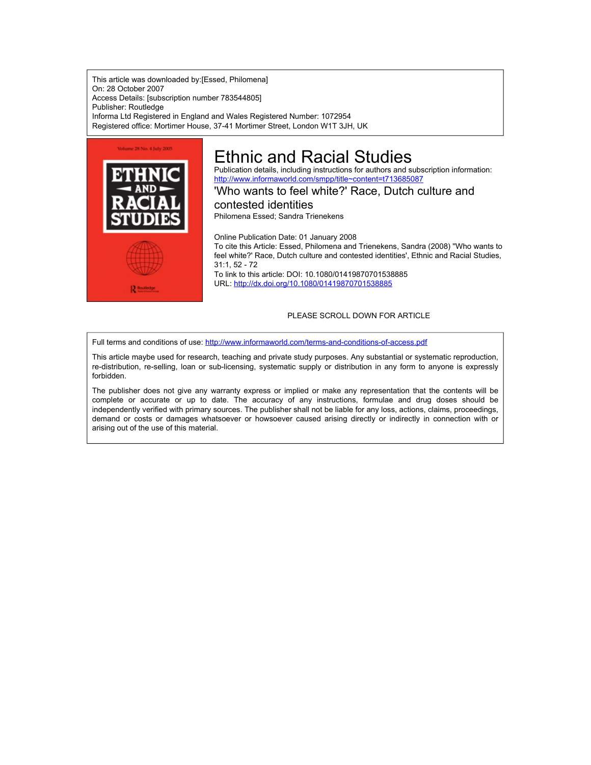This article was downloaded by:[Essed, Philomena] On: 28 October 2007 Access Details: [subscription number 783544805] Publisher: Routledge Informa Ltd Registered in England and Wales Registered Number: 1072954 Registered office: Mortimer House, 37-41 Mortimer Street, London W1T 3JH, UK



# Ethnic and Racial Studies

Publication details, including instructions for authors and subscription information: <http://www.informaworld.com/smpp/title~content=t713685087>

'Who wants to feel white?' Race, Dutch culture and contested identities

Philomena Essed; Sandra Trienekens

Online Publication Date: 01 January 2008 To cite this Article: Essed, Philomena and Trienekens, Sandra (2008) ''Who wants to feel white?' Race, Dutch culture and contested identities', Ethnic and Racial Studies, 31:1, 52 - 72 To link to this article: DOI: 10.1080/01419870701538885 URL: <http://dx.doi.org/10.1080/01419870701538885>

# PLEASE SCROLL DOWN FOR ARTICLE

Full terms and conditions of use: <http://www.informaworld.com/terms-and-conditions-of-access.pdf>

This article maybe used for research, teaching and private study purposes. Any substantial or systematic reproduction, re-distribution, re-selling, loan or sub-licensing, systematic supply or distribution in any form to anyone is expressly forbidden.

The publisher does not give any warranty express or implied or make any representation that the contents will be complete or accurate or up to date. The accuracy of any instructions, formulae and drug doses should be independently verified with primary sources. The publisher shall not be liable for any loss, actions, claims, proceedings, demand or costs or damages whatsoever or howsoever caused arising directly or indirectly in connection with or arising out of the use of this material.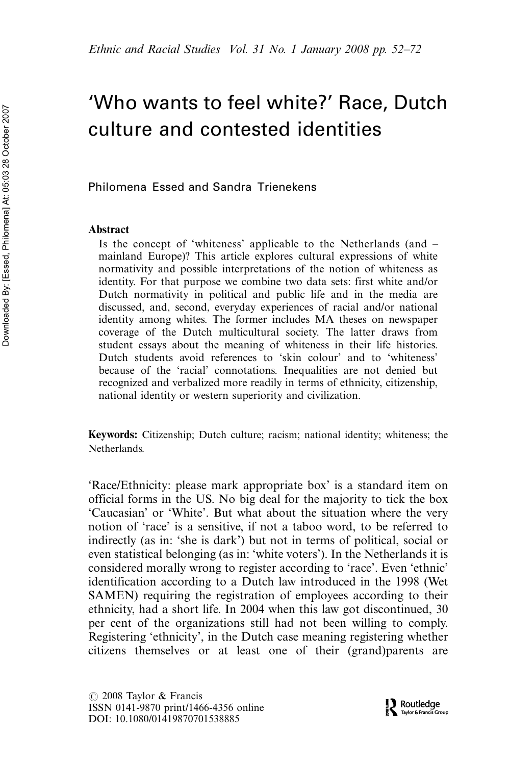# 'Who wants to feel white?' Race, Dutch culture and contested identities

Philomena Essed and Sandra Trienekens

#### Abstract

Is the concept of 'whiteness' applicable to the Netherlands (and mainland Europe)? This article explores cultural expressions of white normativity and possible interpretations of the notion of whiteness as identity. For that purpose we combine two data sets: first white and/or Dutch normativity in political and public life and in the media are discussed, and, second, everyday experiences of racial and/or national identity among whites. The former includes MA theses on newspaper coverage of the Dutch multicultural society. The latter draws from student essays about the meaning of whiteness in their life histories. Dutch students avoid references to 'skin colour' and to 'whiteness' because of the 'racial' connotations. Inequalities are not denied but recognized and verbalized more readily in terms of ethnicity, citizenship, national identity or western superiority and civilization.

Keywords: Citizenship; Dutch culture; racism; national identity; whiteness; the Netherlands.

'Race/Ethnicity: please mark appropriate box' is a standard item on official forms in the US. No big deal for the majority to tick the box 'Caucasian' or 'White'. But what about the situation where the very notion of 'race' is a sensitive, if not a taboo word, to be referred to indirectly (as in: 'she is dark') but not in terms of political, social or even statistical belonging (as in: 'white voters'). In the Netherlands it is considered morally wrong to register according to 'race'. Even 'ethnic' identification according to a Dutch law introduced in the 1998 (Wet SAMEN) requiring the registration of employees according to their ethnicity, had a short life. In 2004 when this law got discontinued, 30 per cent of the organizations still had not been willing to comply. Registering 'ethnicity', in the Dutch case meaning registering whether citizens themselves or at least one of their (grand)parents are

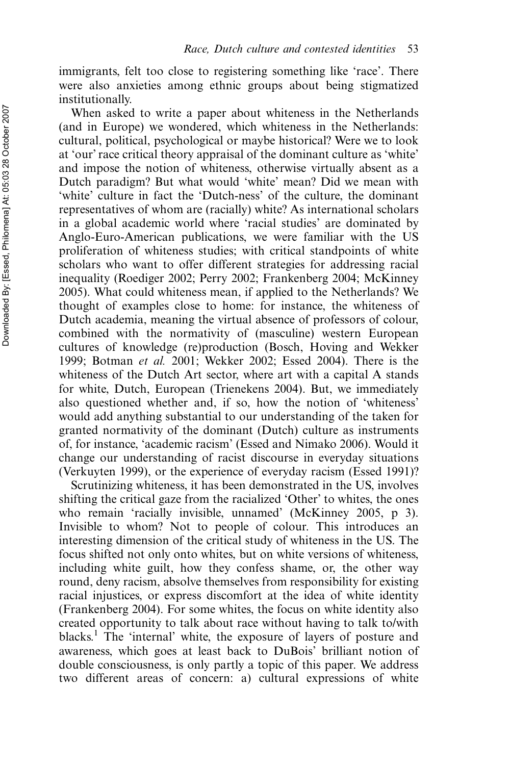immigrants, felt too close to registering something like 'race'. There were also anxieties among ethnic groups about being stigmatized institutionally.

When asked to write a paper about whiteness in the Netherlands (and in Europe) we wondered, which whiteness in the Netherlands: cultural, political, psychological or maybe historical? Were we to look at 'our' race critical theory appraisal of the dominant culture as 'white' and impose the notion of whiteness, otherwise virtually absent as a Dutch paradigm? But what would 'white' mean? Did we mean with 'white' culture in fact the 'Dutch-ness' of the culture, the dominant representatives of whom are (racially) white? As international scholars in a global academic world where 'racial studies' are dominated by Anglo-Euro-American publications, we were familiar with the US proliferation of whiteness studies; with critical standpoints of white scholars who want to offer different strategies for addressing racial inequality (Roediger 2002; Perry 2002; Frankenberg 2004; McKinney 2005). What could whiteness mean, if applied to the Netherlands? We thought of examples close to home: for instance, the whiteness of Dutch academia, meaning the virtual absence of professors of colour, combined with the normativity of (masculine) western European cultures of knowledge (re)production (Bosch, Hoving and Wekker 1999; Botman et al. 2001; Wekker 2002; Essed 2004). There is the whiteness of the Dutch Art sector, where art with a capital A stands for white, Dutch, European (Trienekens 2004). But, we immediately also questioned whether and, if so, how the notion of 'whiteness' would add anything substantial to our understanding of the taken for granted normativity of the dominant (Dutch) culture as instruments of, for instance, 'academic racism' (Essed and Nimako 2006). Would it change our understanding of racist discourse in everyday situations (Verkuyten 1999), or the experience of everyday racism (Essed 1991)?

Scrutinizing whiteness, it has been demonstrated in the US, involves shifting the critical gaze from the racialized 'Other' to whites, the ones who remain 'racially invisible, unnamed' (McKinney 2005, p 3). Invisible to whom? Not to people of colour. This introduces an interesting dimension of the critical study of whiteness in the US. The focus shifted not only onto whites, but on white versions of whiteness, including white guilt, how they confess shame, or, the other way round, deny racism, absolve themselves from responsibility for existing racial injustices, or express discomfort at the idea of white identity (Frankenberg 2004). For some whites, the focus on white identity also created opportunity to talk about race without having to talk to/with blacks.<sup>1</sup> The 'internal' white, the exposure of layers of posture and awareness, which goes at least back to DuBois' brilliant notion of double consciousness, is only partly a topic of this paper. We address two different areas of concern: a) cultural expressions of white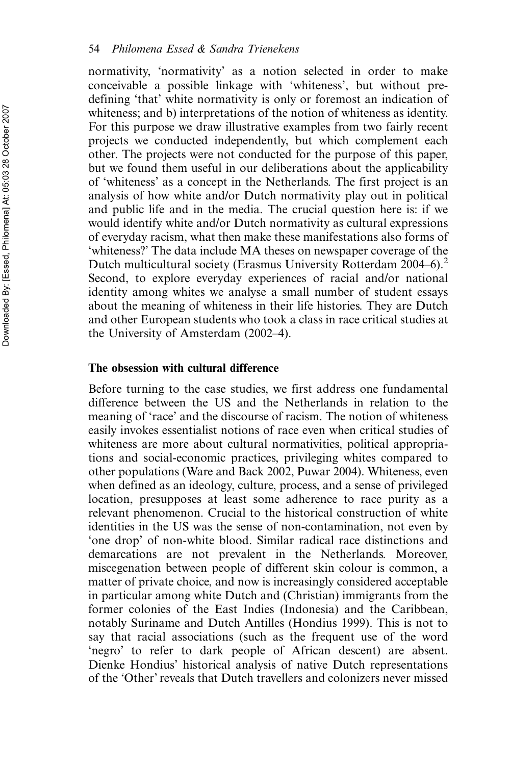normativity, 'normativity' as a notion selected in order to make conceivable a possible linkage with 'whiteness', but without predefining 'that' white normativity is only or foremost an indication of whiteness; and b) interpretations of the notion of whiteness as identity. For this purpose we draw illustrative examples from two fairly recent projects we conducted independently, but which complement each other. The projects were not conducted for the purpose of this paper, but we found them useful in our deliberations about the applicability of 'whiteness' as a concept in the Netherlands. The first project is an analysis of how white and/or Dutch normativity play out in political and public life and in the media. The crucial question here is: if we would identify white and/or Dutch normativity as cultural expressions of everyday racism, what then make these manifestations also forms of 'whiteness?' The data include MA theses on newspaper coverage of the Dutch multicultural society (Erasmus University Rotterdam 2004–6).<sup>2</sup> Second, to explore everyday experiences of racial and/or national identity among whites we analyse a small number of student essays about the meaning of whiteness in their life histories. They are Dutch and other European students who took a class in race critical studies at the University of Amsterdam (2002-4).

# The obsession with cultural difference

Before turning to the case studies, we first address one fundamental difference between the US and the Netherlands in relation to the meaning of 'race' and the discourse of racism. The notion of whiteness easily invokes essentialist notions of race even when critical studies of whiteness are more about cultural normativities, political appropriations and social-economic practices, privileging whites compared to other populations (Ware and Back 2002, Puwar 2004). Whiteness, even when defined as an ideology, culture, process, and a sense of privileged location, presupposes at least some adherence to race purity as a relevant phenomenon. Crucial to the historical construction of white identities in the US was the sense of non-contamination, not even by 'one drop' of non-white blood. Similar radical race distinctions and demarcations are not prevalent in the Netherlands. Moreover, miscegenation between people of different skin colour is common, a matter of private choice, and now is increasingly considered acceptable in particular among white Dutch and (Christian) immigrants from the former colonies of the East Indies (Indonesia) and the Caribbean, notably Suriname and Dutch Antilles (Hondius 1999). This is not to say that racial associations (such as the frequent use of the word 'negro' to refer to dark people of African descent) are absent. Dienke Hondius' historical analysis of native Dutch representations of the 'Other' reveals that Dutch travellers and colonizers never missed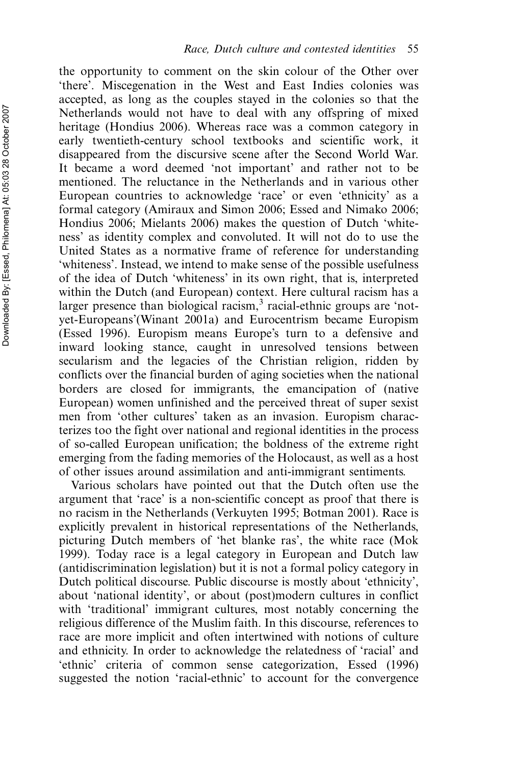the opportunity to comment on the skin colour of the Other over 'there'. Miscegenation in the West and East Indies colonies was accepted, as long as the couples stayed in the colonies so that the Netherlands would not have to deal with any offspring of mixed heritage (Hondius 2006). Whereas race was a common category in early twentieth-century school textbooks and scientific work, it disappeared from the discursive scene after the Second World War. It became a word deemed 'not important' and rather not to be mentioned. The reluctance in the Netherlands and in various other European countries to acknowledge 'race' or even 'ethnicity' as a formal category (Amiraux and Simon 2006; Essed and Nimako 2006; Hondius 2006; Mielants 2006) makes the question of Dutch 'whiteness' as identity complex and convoluted. It will not do to use the United States as a normative frame of reference for understanding 'whiteness'. Instead, we intend to make sense of the possible usefulness of the idea of Dutch 'whiteness' in its own right, that is, interpreted within the Dutch (and European) context. Here cultural racism has a larger presence than biological racism, <sup>3</sup> racial-ethnic groups are 'notyet-Europeans'(Winant 2001a) and Eurocentrism became Europism (Essed 1996). Europism means Europe's turn to a defensive and inward looking stance, caught in unresolved tensions between secularism and the legacies of the Christian religion, ridden by conflicts over the financial burden of aging societies when the national borders are closed for immigrants, the emancipation of (native European) women unfinished and the perceived threat of super sexist men from 'other cultures' taken as an invasion. Europism characterizes too the fight over national and regional identities in the process of so-called European unification; the boldness of the extreme right emerging from the fading memories of the Holocaust, as well as a host of other issues around assimilation and anti-immigrant sentiments.

Various scholars have pointed out that the Dutch often use the argument that 'race' is a non-scientific concept as proof that there is no racism in the Netherlands (Verkuyten 1995; Botman 2001). Race is explicitly prevalent in historical representations of the Netherlands, picturing Dutch members of 'het blanke ras', the white race (Mok 1999). Today race is a legal category in European and Dutch law (antidiscrimination legislation) but it is not a formal policy category in Dutch political discourse. Public discourse is mostly about 'ethnicity', about 'national identity', or about (post)modern cultures in conflict with 'traditional' immigrant cultures, most notably concerning the religious difference of the Muslim faith. In this discourse, references to race are more implicit and often intertwined with notions of culture and ethnicity. In order to acknowledge the relatedness of 'racial' and 'ethnic' criteria of common sense categorization, Essed (1996) suggested the notion 'racial-ethnic' to account for the convergence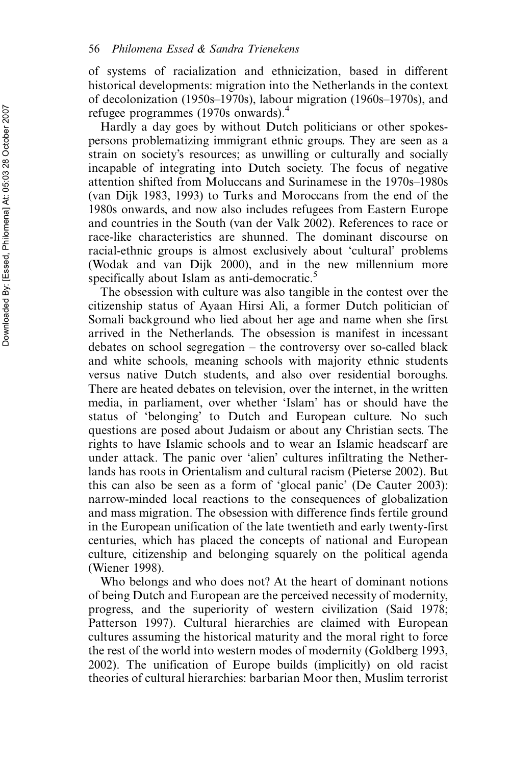of systems of racialization and ethnicization, based in different historical developments: migration into the Netherlands in the context of decolonization (1950s–1970s), labour migration (1960s–1970s), and refugee programmes (1970s onwards). 4

Hardly a day goes by without Dutch politicians or other spokespersons problematizing immigrant ethnic groups. They are seen as a strain on society's resources; as unwilling or culturally and socially incapable of integrating into Dutch society. The focus of negative attention shifted from Moluccans and Surinamese in the 1970s–1980s (van Dijk 1983, 1993) to Turks and Moroccans from the end of the 1980s onwards, and now also includes refugees from Eastern Europe and countries in the South (van der Valk 2002). References to race or race-like characteristics are shunned. The dominant discourse on racial-ethnic groups is almost exclusively about 'cultural' problems (Wodak and van Dijk 2000), and in the new millennium more specifically about Islam as anti-democratic.<sup>5</sup>

The obsession with culture was also tangible in the contest over the citizenship status of Ayaan Hirsi Ali, a former Dutch politician of Somali background who lied about her age and name when she first arrived in the Netherlands. The obsession is manifest in incessant debates on school segregation - the controversy over so-called black and white schools, meaning schools with majority ethnic students versus native Dutch students, and also over residential boroughs. There are heated debates on television, over the internet, in the written media, in parliament, over whether 'Islam' has or should have the status of 'belonging' to Dutch and European culture. No such questions are posed about Judaism or about any Christian sects. The rights to have Islamic schools and to wear an Islamic headscarf are under attack. The panic over 'alien' cultures infiltrating the Netherlands has roots in Orientalism and cultural racism (Pieterse 2002). But this can also be seen as a form of 'glocal panic' (De Cauter 2003): narrow-minded local reactions to the consequences of globalization and mass migration. The obsession with difference finds fertile ground in the European unification of the late twentieth and early twenty-first centuries, which has placed the concepts of national and European culture, citizenship and belonging squarely on the political agenda (Wiener 1998).

Who belongs and who does not? At the heart of dominant notions of being Dutch and European are the perceived necessity of modernity, progress, and the superiority of western civilization (Said 1978; Patterson 1997). Cultural hierarchies are claimed with European cultures assuming the historical maturity and the moral right to force the rest of the world into western modes of modernity (Goldberg 1993, 2002). The unification of Europe builds (implicitly) on old racist theories of cultural hierarchies: barbarian Moor then, Muslim terrorist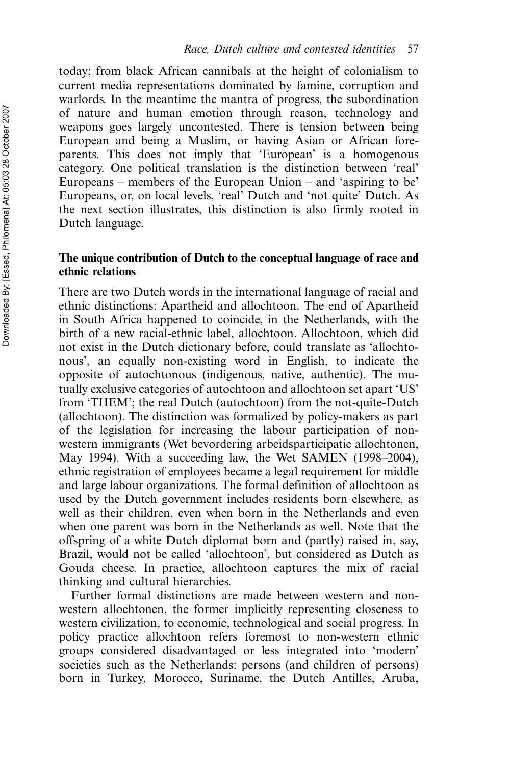today; from black African cannibals at the height of colonialism to current media representations dominated by famine, corruption and warlords. In the meantime the mantra of progress, the subordination of nature and human emotion through reason, technology and weapons goes largely uncontested. There is tension between being European and being a Muslim, or having Asian or African foreparents. This does not imply that 'European' is a homogenous category. One political translation is the distinction between 'real' Europeans – members of the European Union – and 'aspiring to be' Europeans, or, on local levels, 'real' Dutch and 'not quite' Dutch. As the next section illustrates, this distinction is also firmly rooted in Dutch language.

# The unique contribution of Dutch to the conceptual language of race and ethnic relations

There are two Dutch words in the international language of racial and ethnic distinctions: Apartheid and allochtoon. The end of Apartheid in South Africa happened to coincide, in the Netherlands, with the birth of a new racial-ethnic label, allochtoon. Allochtoon, which did not exist in the Dutch dictionary before, could translate as 'allochtonous', an equally non-existing word in English, to indicate the opposite of autochtonous (indigenous, native, authentic). The mutually exclusive categories of autochtoon and allochtoon set apart 'US' from 'THEM'; the real Dutch (autochtoon) from the not-quite-Dutch (allochtoon). The distinction was formalized by policy-makers as part of the legislation for increasing the labour participation of nonwestern immigrants (Wet bevordering arbeidsparticipatie allochtonen, May 1994). With a succeeding law, the Wet SAMEN (1998–2004), ethnic registration of employees became a legal requirement for middle and large labour organizations. The formal definition of allochtoon as used by the Dutch government includes residents born elsewhere, as well as their children, even when born in the Netherlands and even when one parent was born in the Netherlands as well. Note that the offspring of a white Dutch diplomat born and (partly) raised in, say, Brazil, would not be called 'allochtoon', but considered as Dutch as Gouda cheese. In practice, allochtoon captures the mix of racial thinking and cultural hierarchies.

Further formal distinctions are made between western and nonwestern allochtonen, the former implicitly representing closeness to western civilization, to economic, technological and social progress. In policy practice allochtoon refers foremost to non-western ethnic groups considered disadvantaged or less integrated into 'modern' societies such as the Netherlands: persons (and children of persons) born in Turkey, Morocco, Suriname, the Dutch Antilles, Aruba,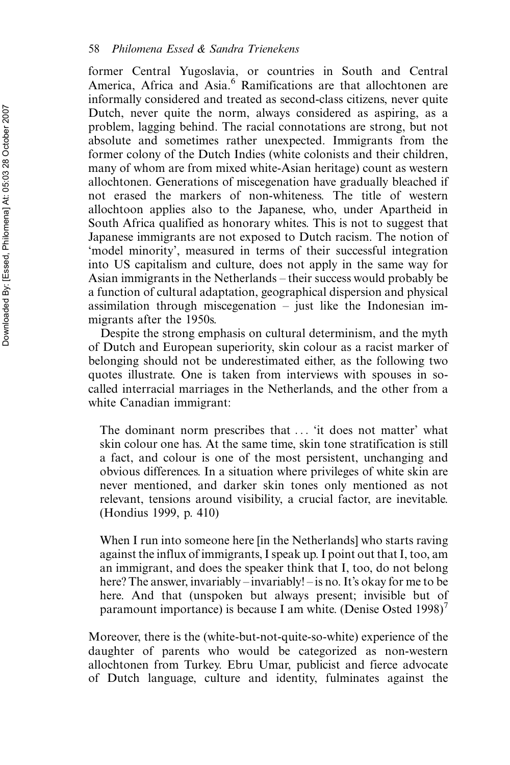former Central Yugoslavia, or countries in South and Central America, Africa and Asia. <sup>6</sup> Ramifications are that allochtonen are informally considered and treated as second-class citizens, never quite Dutch, never quite the norm, always considered as aspiring, as a problem, lagging behind. The racial connotations are strong, but not absolute and sometimes rather unexpected. Immigrants from the former colony of the Dutch Indies (white colonists and their children, many of whom are from mixed white-Asian heritage) count as western allochtonen. Generations of miscegenation have gradually bleached if not erased the markers of non-whiteness. The title of western allochtoon applies also to the Japanese, who, under Apartheid in South Africa qualified as honorary whites. This is not to suggest that Japanese immigrants are not exposed to Dutch racism. The notion of 'model minority', measured in terms of their successful integration into US capitalism and culture, does not apply in the same way for Asian immigrants in the Netherlands – their success would probably be a function of cultural adaptation, geographical dispersion and physical assimilation through miscegenation - just like the Indonesian immigrants after the 1950s.

Despite the strong emphasis on cultural determinism, and the myth of Dutch and European superiority, skin colour as a racist marker of belonging should not be underestimated either, as the following two quotes illustrate. One is taken from interviews with spouses in socalled interracial marriages in the Netherlands, and the other from a white Canadian immigrant:

The dominant norm prescribes that ... 'it does not matter' what skin colour one has. At the same time, skin tone stratification is still a fact, and colour is one of the most persistent, unchanging and obvious differences. In a situation where privileges of white skin are never mentioned, and darker skin tones only mentioned as not relevant, tensions around visibility, a crucial factor, are inevitable. (Hondius 1999, p. 410)

When I run into someone here [in the Netherlands] who starts raving against the influx of immigrants, I speak up. I point out that I, too, am an immigrant, and does the speaker think that I, too, do not belong here? The answer, invariably – invariably! – is no. It's okay for me to be here. And that (unspoken but always present; invisible but of paramount importance) is because I am white. (Denise Osted 1998)<sup>7</sup>

Moreover, there is the (white-but-not-quite-so-white) experience of the daughter of parents who would be categorized as non-western allochtonen from Turkey. Ebru Umar, publicist and fierce advocate of Dutch language, culture and identity, fulminates against the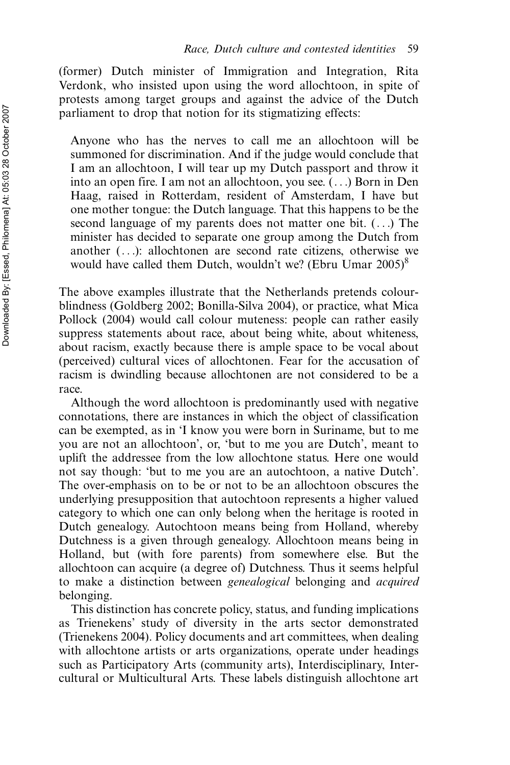(former) Dutch minister of Immigration and Integration, Rita Verdonk, who insisted upon using the word allochtoon, in spite of protests among target groups and against the advice of the Dutch parliament to drop that notion for its stigmatizing effects:

Anyone who has the nerves to call me an allochtoon will be summoned for discrimination. And if the judge would conclude that I am an allochtoon, I will tear up my Dutch passport and throw it into an open fire. I am not an allochtoon, you see. (...) Born in Den Haag, raised in Rotterdam, resident of Amsterdam, I have but one mother tongue: the Dutch language. That this happens to be the second language of my parents does not matter one bit. (...) The minister has decided to separate one group among the Dutch from another (...): allochtonen are second rate citizens, otherwise we would have called them Dutch, wouldn't we? (Ebru Umar 2005)<sup>8</sup>

The above examples illustrate that the Netherlands pretends colourblindness (Goldberg 2002; Bonilla-Silva 2004), or practice, what Mica Pollock (2004) would call colour muteness: people can rather easily suppress statements about race, about being white, about whiteness, about racism, exactly because there is ample space to be vocal about (perceived) cultural vices of allochtonen. Fear for the accusation of racism is dwindling because allochtonen are not considered to be a race.

Although the word allochtoon is predominantly used with negative connotations, there are instances in which the object of classification can be exempted, as in 'I know you were born in Suriname, but to me you are not an allochtoon', or, 'but to me you are Dutch', meant to uplift the addressee from the low allochtone status. Here one would not say though: 'but to me you are an autochtoon, a native Dutch'. The over-emphasis on to be or not to be an allochtoon obscures the underlying presupposition that autochtoon represents a higher valued category to which one can only belong when the heritage is rooted in Dutch genealogy. Autochtoon means being from Holland, whereby Dutchness is a given through genealogy. Allochtoon means being in Holland, but (with fore parents) from somewhere else. But the allochtoon can acquire (a degree of) Dutchness. Thus it seems helpful to make a distinction between genealogical belonging and acquired belonging.

This distinction has concrete policy, status, and funding implications as Trienekens' study of diversity in the arts sector demonstrated (Trienekens 2004). Policy documents and art committees, when dealing with allochtone artists or arts organizations, operate under headings such as Participatory Arts (community arts), Interdisciplinary, Intercultural or Multicultural Arts. These labels distinguish allochtone art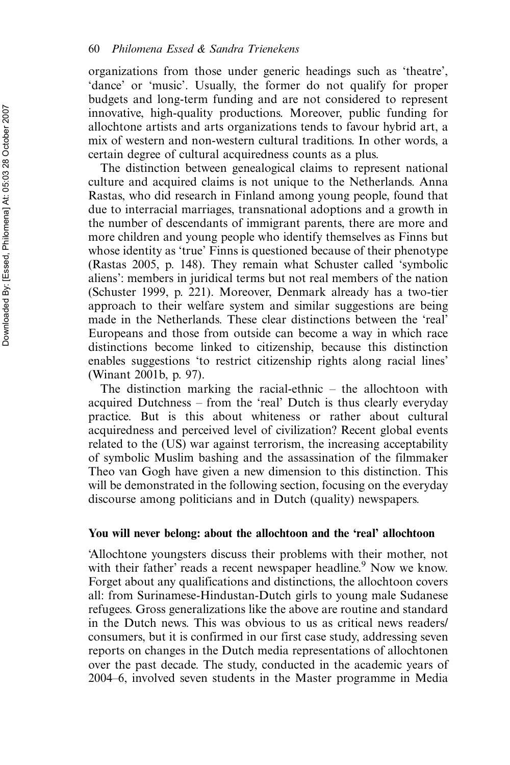organizations from those under generic headings such as 'theatre', 'dance' or 'music'. Usually, the former do not qualify for proper budgets and long-term funding and are not considered to represent innovative, high-quality productions. Moreover, public funding for allochtone artists and arts organizations tends to favour hybrid art, a mix of western and non-western cultural traditions. In other words, a certain degree of cultural acquiredness counts as a plus.

The distinction between genealogical claims to represent national culture and acquired claims is not unique to the Netherlands. Anna Rastas, who did research in Finland among young people, found that due to interracial marriages, transnational adoptions and a growth in the number of descendants of immigrant parents, there are more and more children and young people who identify themselves as Finns but whose identity as 'true' Finns is questioned because of their phenotype (Rastas 2005, p. 148). They remain what Schuster called 'symbolic aliens': members in juridical terms but not real members of the nation (Schuster 1999, p. 221). Moreover, Denmark already has a two-tier approach to their welfare system and similar suggestions are being made in the Netherlands. These clear distinctions between the 'real' Europeans and those from outside can become a way in which race distinctions become linked to citizenship, because this distinction enables suggestions 'to restrict citizenship rights along racial lines' (Winant 2001b, p. 97).

The distinction marking the racial-ethnic  $-$  the allochtoon with acquired Dutchness - from the 'real' Dutch is thus clearly everyday practice. But is this about whiteness or rather about cultural acquiredness and perceived level of civilization? Recent global events related to the (US) war against terrorism, the increasing acceptability of symbolic Muslim bashing and the assassination of the filmmaker Theo van Gogh have given a new dimension to this distinction. This will be demonstrated in the following section, focusing on the everyday discourse among politicians and in Dutch (quality) newspapers.

#### You will never belong: about the allochtoon and the 'real' allochtoon

'Allochtone youngsters discuss their problems with their mother, not with their father' reads a recent newspaper headline.<sup>9</sup> Now we know. Forget about any qualifications and distinctions, the allochtoon covers all: from Surinamese-Hindustan-Dutch girls to young male Sudanese refugees. Gross generalizations like the above are routine and standard in the Dutch news. This was obvious to us as critical news readers/ consumers, but it is confirmed in our first case study, addressing seven reports on changes in the Dutch media representations of allochtonen over the past decade. The study, conducted in the academic years of 2004 !6, involved seven students in the Master programme in Media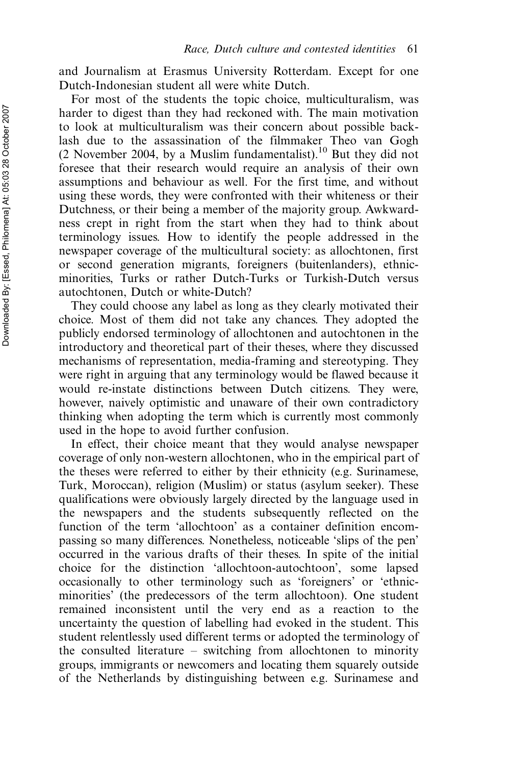and Journalism at Erasmus University Rotterdam. Except for one Dutch-Indonesian student all were white Dutch.

For most of the students the topic choice, multiculturalism, was harder to digest than they had reckoned with. The main motivation to look at multiculturalism was their concern about possible backlash due to the assassination of the filmmaker Theo van Gogh (2 November 2004, by a Muslim fundamentalist).<sup>10</sup> But they did not foresee that their research would require an analysis of their own assumptions and behaviour as well. For the first time, and without using these words, they were confronted with their whiteness or their Dutchness, or their being a member of the majority group. Awkwardness crept in right from the start when they had to think about terminology issues. How to identify the people addressed in the newspaper coverage of the multicultural society: as allochtonen, first or second generation migrants, foreigners (buitenlanders), ethnicminorities, Turks or rather Dutch-Turks or Turkish-Dutch versus autochtonen, Dutch or white-Dutch?

They could choose any label as long as they clearly motivated their choice. Most of them did not take any chances. They adopted the publicly endorsed terminology of allochtonen and autochtonen in the introductory and theoretical part of their theses, where they discussed mechanisms of representation, media-framing and stereotyping. They were right in arguing that any terminology would be flawed because it would re-instate distinctions between Dutch citizens. They were, however, naively optimistic and unaware of their own contradictory thinking when adopting the term which is currently most commonly used in the hope to avoid further confusion.

In effect, their choice meant that they would analyse newspaper coverage of only non-western allochtonen, who in the empirical part of the theses were referred to either by their ethnicity (e.g. Surinamese, Turk, Moroccan), religion (Muslim) or status (asylum seeker). These qualifications were obviously largely directed by the language used in the newspapers and the students subsequently reflected on the function of the term 'allochtoon' as a container definition encompassing so many differences. Nonetheless, noticeable 'slips of the pen' occurred in the various drafts of their theses. In spite of the initial choice for the distinction 'allochtoon-autochtoon', some lapsed occasionally to other terminology such as 'foreigners' or 'ethnicminorities' (the predecessors of the term allochtoon). One student remained inconsistent until the very end as a reaction to the uncertainty the question of labelling had evoked in the student. This student relentlessly used different terms or adopted the terminology of the consulted literature – switching from allochtonen to minority groups, immigrants or newcomers and locating them squarely outside of the Netherlands by distinguishing between e.g. Surinamese and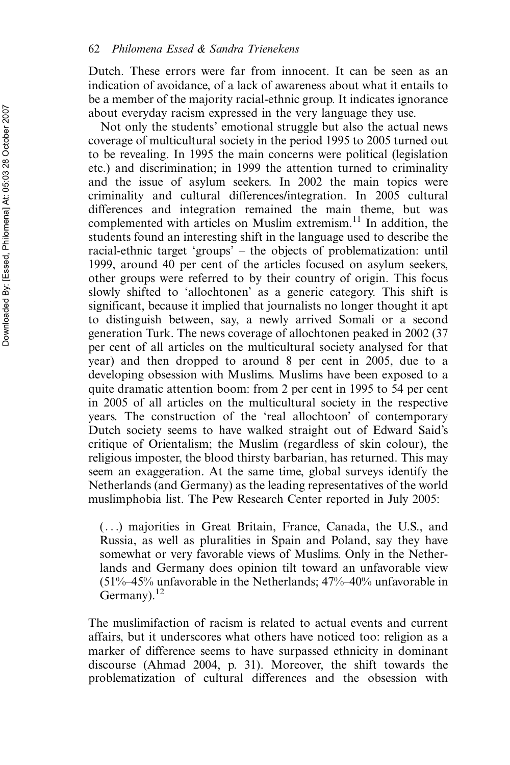Dutch. These errors were far from innocent. It can be seen as an indication of avoidance, of a lack of awareness about what it entails to be a member of the majority racial-ethnic group. It indicates ignorance about everyday racism expressed in the very language they use.

Not only the students' emotional struggle but also the actual news coverage of multicultural society in the period 1995 to 2005 turned out to be revealing. In 1995 the main concerns were political (legislation etc.) and discrimination; in 1999 the attention turned to criminality and the issue of asylum seekers. In 2002 the main topics were criminality and cultural differences/integration. In 2005 cultural differences and integration remained the main theme, but was complemented with articles on Muslim extremism.<sup>11</sup> In addition, the students found an interesting shift in the language used to describe the racial-ethnic target 'groups' – the objects of problematization: until 1999, around 40 per cent of the articles focused on asylum seekers, other groups were referred to by their country of origin. This focus slowly shifted to 'allochtonen' as a generic category. This shift is significant, because it implied that journalists no longer thought it apt to distinguish between, say, a newly arrived Somali or a second generation Turk. The news coverage of allochtonen peaked in 2002 (37 per cent of all articles on the multicultural society analysed for that year) and then dropped to around 8 per cent in 2005, due to a developing obsession with Muslims. Muslims have been exposed to a quite dramatic attention boom: from 2 per cent in 1995 to 54 per cent in 2005 of all articles on the multicultural society in the respective years. The construction of the 'real allochtoon' of contemporary Dutch society seems to have walked straight out of Edward Said's critique of Orientalism; the Muslim (regardless of skin colour), the religious imposter, the blood thirsty barbarian, has returned. This may seem an exaggeration. At the same time, global surveys identify the Netherlands (and Germany) as the leading representatives of the world muslimphobia list. The Pew Research Center reported in July 2005:

(...) majorities in Great Britain, France, Canada, the U.S., and Russia, as well as pluralities in Spain and Poland, say they have somewhat or very favorable views of Muslims. Only in the Netherlands and Germany does opinion tilt toward an unfavorable view  $(51\% - 45\%$  unfavorable in the Netherlands;  $47\% - 40\%$  unfavorable in Germany). $^{12}$ 

The muslimifaction of racism is related to actual events and current affairs, but it underscores what others have noticed too: religion as a marker of difference seems to have surpassed ethnicity in dominant discourse (Ahmad 2004, p. 31). Moreover, the shift towards the problematization of cultural differences and the obsession with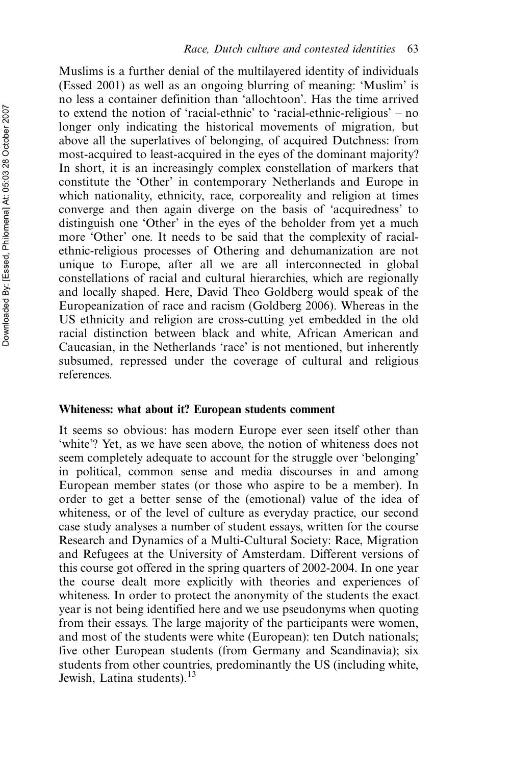Muslims is a further denial of the multilayered identity of individuals (Essed 2001) as well as an ongoing blurring of meaning: 'Muslim' is no less a container definition than 'allochtoon'. Has the time arrived to extend the notion of 'racial-ethnic' to 'racial-ethnic-religious' – no longer only indicating the historical movements of migration, but above all the superlatives of belonging, of acquired Dutchness: from most-acquired to least-acquired in the eyes of the dominant majority? In short, it is an increasingly complex constellation of markers that constitute the 'Other' in contemporary Netherlands and Europe in which nationality, ethnicity, race, corporeality and religion at times converge and then again diverge on the basis of 'acquiredness' to distinguish one 'Other' in the eyes of the beholder from yet a much more 'Other' one. It needs to be said that the complexity of racialethnic-religious processes of Othering and dehumanization are not unique to Europe, after all we are all interconnected in global constellations of racial and cultural hierarchies, which are regionally and locally shaped. Here, David Theo Goldberg would speak of the Europeanization of race and racism (Goldberg 2006). Whereas in the US ethnicity and religion are cross-cutting yet embedded in the old racial distinction between black and white, African American and Caucasian, in the Netherlands 'race' is not mentioned, but inherently subsumed, repressed under the coverage of cultural and religious references.

#### Whiteness: what about it? European students comment

It seems so obvious: has modern Europe ever seen itself other than 'white'? Yet, as we have seen above, the notion of whiteness does not seem completely adequate to account for the struggle over 'belonging' in political, common sense and media discourses in and among European member states (or those who aspire to be a member). In order to get a better sense of the (emotional) value of the idea of whiteness, or of the level of culture as everyday practice, our second case study analyses a number of student essays, written for the course Research and Dynamics of a Multi-Cultural Society: Race, Migration and Refugees at the University of Amsterdam. Different versions of this course got offered in the spring quarters of 2002-2004. In one year the course dealt more explicitly with theories and experiences of whiteness. In order to protect the anonymity of the students the exact year is not being identified here and we use pseudonyms when quoting from their essays. The large majority of the participants were women, and most of the students were white (European): ten Dutch nationals; five other European students (from Germany and Scandinavia); six students from other countries, predominantly the US (including white, Jewish, Latina students).<sup>13</sup>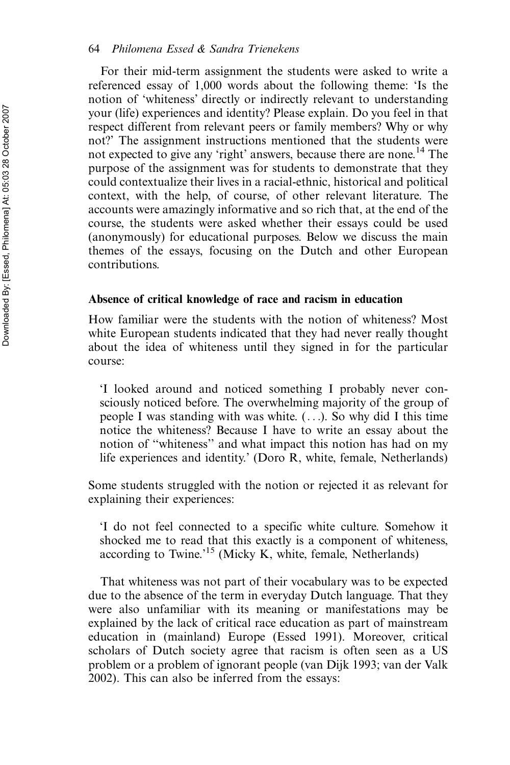#### 64 Philomena Essed & Sandra Trienekens

For their mid-term assignment the students were asked to write a referenced essay of 1,000 words about the following theme: 'Is the notion of 'whiteness' directly or indirectly relevant to understanding your (life) experiences and identity? Please explain. Do you feel in that respect different from relevant peers or family members? Why or why not?' The assignment instructions mentioned that the students were not expected to give any 'right' answers, because there are none.<sup>14</sup> The purpose of the assignment was for students to demonstrate that they could contextualize their lives in a racial-ethnic, historical and political context, with the help, of course, of other relevant literature. The accounts were amazingly informative and so rich that, at the end of the course, the students were asked whether their essays could be used (anonymously) for educational purposes. Below we discuss the main themes of the essays, focusing on the Dutch and other European contributions.

## Absence of critical knowledge of race and racism in education

How familiar were the students with the notion of whiteness? Most white European students indicated that they had never really thought about the idea of whiteness until they signed in for the particular course:

'I looked around and noticed something I probably never consciously noticed before. The overwhelming majority of the group of people I was standing with was white.  $(\ldots)$ . So why did I this time notice the whiteness? Because I have to write an essay about the notion of ''whiteness'' and what impact this notion has had on my life experiences and identity.' (Doro R, white, female, Netherlands)

Some students struggled with the notion or rejected it as relevant for explaining their experiences:

'I do not feel connected to a specific white culture. Somehow it shocked me to read that this exactly is a component of whiteness, according to Twine.'15 (Micky K, white, female, Netherlands)

That whiteness was not part of their vocabulary was to be expected due to the absence of the term in everyday Dutch language. That they were also unfamiliar with its meaning or manifestations may be explained by the lack of critical race education as part of mainstream education in (mainland) Europe (Essed 1991). Moreover, critical scholars of Dutch society agree that racism is often seen as a US problem or a problem of ignorant people (van Dijk 1993; van der Valk 2002). This can also be inferred from the essays: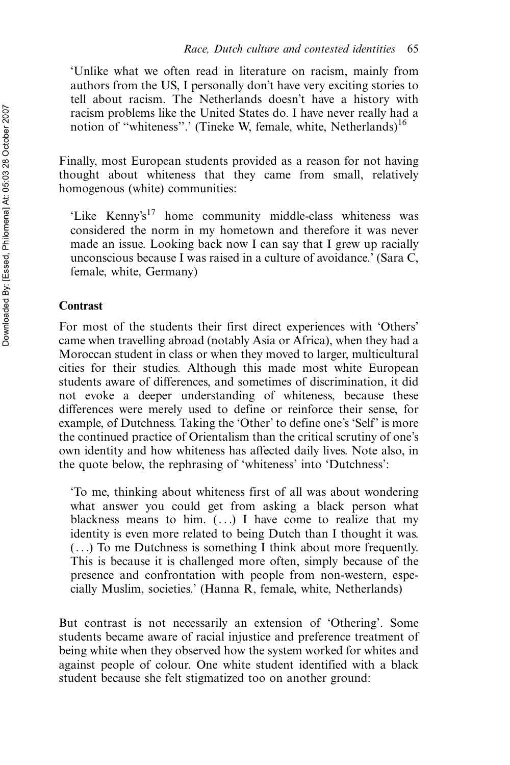'Unlike what we often read in literature on racism, mainly from authors from the US, I personally don't have very exciting stories to tell about racism. The Netherlands doesn't have a history with racism problems like the United States do. I have never really had a notion of "whiteness".' (Tineke W, female, white, Netherlands)<sup>16</sup>

Finally, most European students provided as a reason for not having thought about whiteness that they came from small, relatively homogenous (white) communities:

'Like Kenny's<sup>17</sup> home community middle-class whiteness was considered the norm in my hometown and therefore it was never made an issue. Looking back now I can say that I grew up racially unconscious because I was raised in a culture of avoidance.' (Sara C, female, white, Germany)

#### **Contrast**

For most of the students their first direct experiences with 'Others' came when travelling abroad (notably Asia or Africa), when they had a Moroccan student in class or when they moved to larger, multicultural cities for their studies. Although this made most white European students aware of differences, and sometimes of discrimination, it did not evoke a deeper understanding of whiteness, because these differences were merely used to define or reinforce their sense, for example, of Dutchness. Taking the 'Other' to define one's 'Self' is more the continued practice of Orientalism than the critical scrutiny of one's own identity and how whiteness has affected daily lives. Note also, in the quote below, the rephrasing of 'whiteness' into 'Dutchness':

'To me, thinking about whiteness first of all was about wondering what answer you could get from asking a black person what blackness means to him.  $(...)$  I have come to realize that my identity is even more related to being Dutch than I thought it was. (...) To me Dutchness is something I think about more frequently. This is because it is challenged more often, simply because of the presence and confrontation with people from non-western, especially Muslim, societies.' (Hanna R, female, white, Netherlands)

But contrast is not necessarily an extension of 'Othering'. Some students became aware of racial injustice and preference treatment of being white when they observed how the system worked for whites and against people of colour. One white student identified with a black student because she felt stigmatized too on another ground: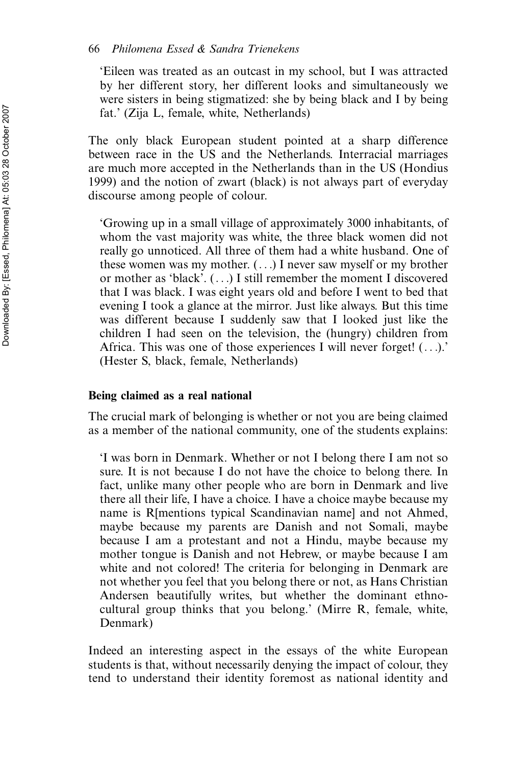## 66 Philomena Essed & Sandra Trienekens

'Eileen was treated as an outcast in my school, but I was attracted by her different story, her different looks and simultaneously we were sisters in being stigmatized: she by being black and I by being fat.' (Zija L, female, white, Netherlands)

The only black European student pointed at a sharp difference between race in the US and the Netherlands. Interracial marriages are much more accepted in the Netherlands than in the US (Hondius 1999) and the notion of zwart (black) is not always part of everyday discourse among people of colour.

'Growing up in a small village of approximately 3000 inhabitants, of whom the vast majority was white, the three black women did not really go unnoticed. All three of them had a white husband. One of these women was my mother. (...) I never saw myself or my brother or mother as 'black'. (...) I still remember the moment I discovered that I was black. I was eight years old and before I went to bed that evening I took a glance at the mirror. Just like always. But this time was different because I suddenly saw that I looked just like the children I had seen on the television, the (hungry) children from Africa. This was one of those experiences I will never forget! (...).' (Hester S, black, female, Netherlands)

# Being claimed as a real national

The crucial mark of belonging is whether or not you are being claimed as a member of the national community, one of the students explains:

'I was born in Denmark. Whether or not I belong there I am not so sure. It is not because I do not have the choice to belong there. In fact, unlike many other people who are born in Denmark and live there all their life, I have a choice. I have a choice maybe because my name is R[mentions typical Scandinavian name] and not Ahmed, maybe because my parents are Danish and not Somali, maybe because I am a protestant and not a Hindu, maybe because my mother tongue is Danish and not Hebrew, or maybe because I am white and not colored! The criteria for belonging in Denmark are not whether you feel that you belong there or not, as Hans Christian Andersen beautifully writes, but whether the dominant ethnocultural group thinks that you belong.' (Mirre R, female, white, Denmark)

Indeed an interesting aspect in the essays of the white European students is that, without necessarily denying the impact of colour, they tend to understand their identity foremost as national identity and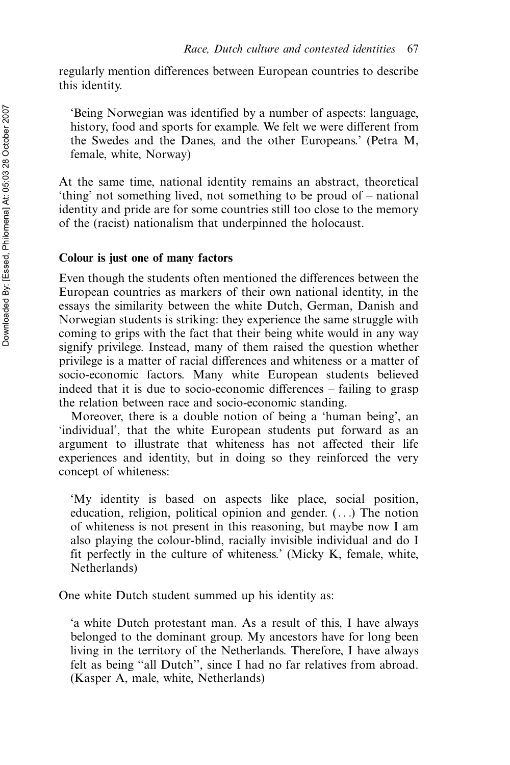regularly mention differences between European countries to describe this identity.

'Being Norwegian was identified by a number of aspects: language, history, food and sports for example. We felt we were different from the Swedes and the Danes, and the other Europeans.' (Petra M, female, white, Norway)

At the same time, national identity remains an abstract, theoretical 'thing' not something lived, not something to be proud of – national identity and pride are for some countries still too close to the memory of the (racist) nationalism that underpinned the holocaust.

## Colour is just one of many factors

Even though the students often mentioned the differences between the European countries as markers of their own national identity, in the essays the similarity between the white Dutch, German, Danish and Norwegian students is striking: they experience the same struggle with coming to grips with the fact that their being white would in any way signify privilege. Instead, many of them raised the question whether privilege is a matter of racial differences and whiteness or a matter of socio-economic factors. Many white European students believed indeed that it is due to socio-economic differences – failing to grasp the relation between race and socio-economic standing.

Moreover, there is a double notion of being a 'human being', an 'individual', that the white European students put forward as an argument to illustrate that whiteness has not affected their life experiences and identity, but in doing so they reinforced the very concept of whiteness:

'My identity is based on aspects like place, social position, education, religion, political opinion and gender. (...) The notion of whiteness is not present in this reasoning, but maybe now I am also playing the colour-blind, racially invisible individual and do I fit perfectly in the culture of whiteness.' (Micky K, female, white, Netherlands)

One white Dutch student summed up his identity as:

'a white Dutch protestant man. As a result of this, I have always belonged to the dominant group. My ancestors have for long been living in the territory of the Netherlands. Therefore, I have always felt as being ''all Dutch'', since I had no far relatives from abroad. (Kasper A, male, white, Netherlands)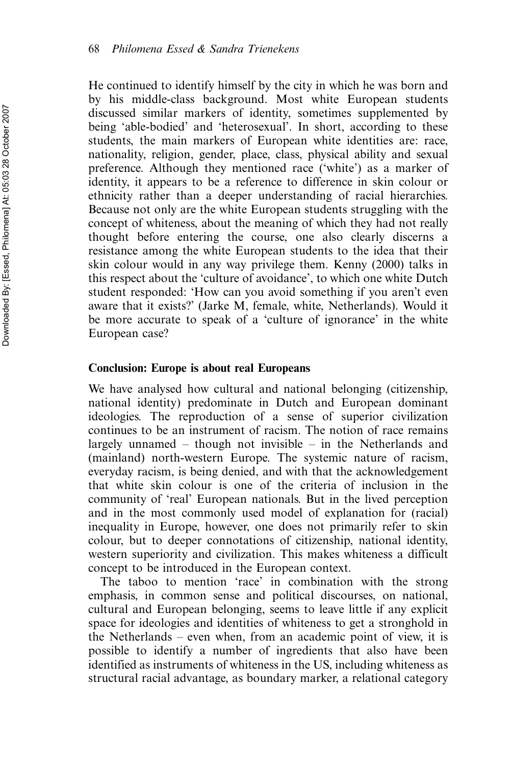He continued to identify himself by the city in which he was born and by his middle-class background. Most white European students discussed similar markers of identity, sometimes supplemented by being 'able-bodied' and 'heterosexual'. In short, according to these students, the main markers of European white identities are: race, nationality, religion, gender, place, class, physical ability and sexual preference. Although they mentioned race ('white') as a marker of identity, it appears to be a reference to difference in skin colour or ethnicity rather than a deeper understanding of racial hierarchies. Because not only are the white European students struggling with the concept of whiteness, about the meaning of which they had not really thought before entering the course, one also clearly discerns a resistance among the white European students to the idea that their skin colour would in any way privilege them. Kenny (2000) talks in this respect about the 'culture of avoidance', to which one white Dutch student responded: 'How can you avoid something if you aren't even aware that it exists?' (Jarke M, female, white, Netherlands). Would it be more accurate to speak of a 'culture of ignorance' in the white European case?

## Conclusion: Europe is about real Europeans

We have analysed how cultural and national belonging (citizenship, national identity) predominate in Dutch and European dominant ideologies. The reproduction of a sense of superior civilization continues to be an instrument of racism. The notion of race remains largely unnamed – though not invisible – in the Netherlands and (mainland) north-western Europe. The systemic nature of racism, everyday racism, is being denied, and with that the acknowledgement that white skin colour is one of the criteria of inclusion in the community of 'real' European nationals. But in the lived perception and in the most commonly used model of explanation for (racial) inequality in Europe, however, one does not primarily refer to skin colour, but to deeper connotations of citizenship, national identity, western superiority and civilization. This makes whiteness a difficult concept to be introduced in the European context.

The taboo to mention 'race' in combination with the strong emphasis, in common sense and political discourses, on national, cultural and European belonging, seems to leave little if any explicit space for ideologies and identities of whiteness to get a stronghold in the Netherlands – even when, from an academic point of view, it is possible to identify a number of ingredients that also have been identified as instruments of whiteness in the US, including whiteness as structural racial advantage, as boundary marker, a relational category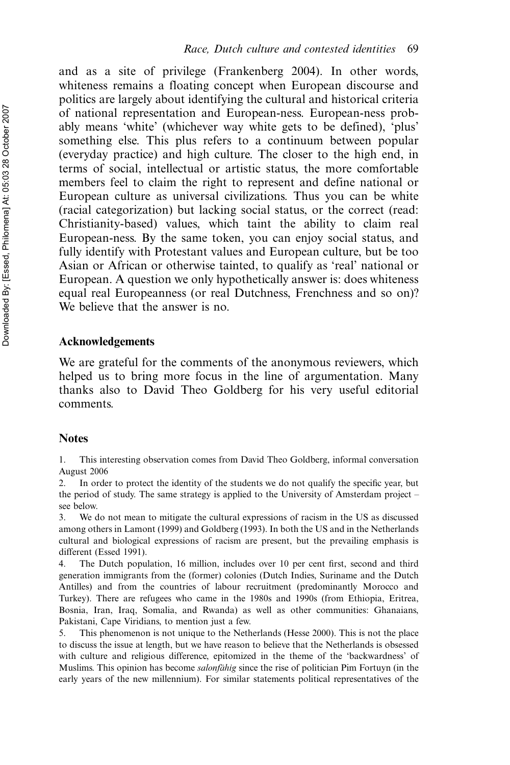and as a site of privilege (Frankenberg 2004). In other words, whiteness remains a floating concept when European discourse and politics are largely about identifying the cultural and historical criteria of national representation and European-ness. European-ness probably means 'white' (whichever way white gets to be defined), 'plus' something else. This plus refers to a continuum between popular (everyday practice) and high culture. The closer to the high end, in terms of social, intellectual or artistic status, the more comfortable members feel to claim the right to represent and define national or European culture as universal civilizations. Thus you can be white (racial categorization) but lacking social status, or the correct (read: Christianity-based) values, which taint the ability to claim real European-ness. By the same token, you can enjoy social status, and fully identify with Protestant values and European culture, but be too Asian or African or otherwise tainted, to qualify as 'real' national or European. A question we only hypothetically answer is: does whiteness equal real Europeanness (or real Dutchness, Frenchness and so on)? We believe that the answer is no.

#### Acknowledgements

We are grateful for the comments of the anonymous reviewers, which helped us to bring more focus in the line of argumentation. Many thanks also to David Theo Goldberg for his very useful editorial comments.

#### Notes

1. This interesting observation comes from David Theo Goldberg, informal conversation August 2006

2. In order to protect the identity of the students we do not qualify the specific year, but the period of study. The same strategy is applied to the University of Amsterdam project ! see below.

3. We do not mean to mitigate the cultural expressions of racism in the US as discussed among others in Lamont (1999) and Goldberg (1993). In both the US and in the Netherlands cultural and biological expressions of racism are present, but the prevailing emphasis is different (Essed 1991).

4. The Dutch population, 16 million, includes over 10 per cent first, second and third generation immigrants from the (former) colonies (Dutch Indies, Suriname and the Dutch Antilles) and from the countries of labour recruitment (predominantly Morocco and Turkey). There are refugees who came in the 1980s and 1990s (from Ethiopia, Eritrea, Bosnia, Iran, Iraq, Somalia, and Rwanda) as well as other communities: Ghanaians, Pakistani, Cape Viridians, to mention just a few.

5. This phenomenon is not unique to the Netherlands (Hesse 2000). This is not the place to discuss the issue at length, but we have reason to believe that the Netherlands is obsessed with culture and religious difference, epitomized in the theme of the 'backwardness' of Muslims. This opinion has become *salonfahig* since the rise of politician Pim Fortuyn (in the early years of the new millennium). For similar statements political representatives of the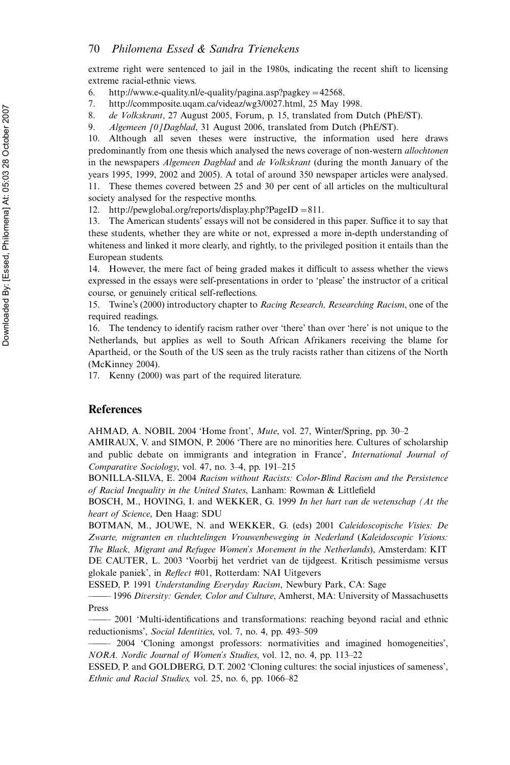#### 70 Philomena Essed & Sandra Trienekens

extreme right were sentenced to jail in the 1980s, indicating the recent shift to licensing extreme racial-ethnic views.

6. http://www.e-quality.nl/e-quality/pagina.asp?pagkey = 42568.

- 7. http://commposite.uqam.ca/videaz/wg3/0027.html, 25 May 1998.
- 8. de Volkskrant, 27 August 2005, Forum, p. 15, translated from Dutch (PhE/ST).
- 9. Algemeen [0]Dagblad, 31 August 2006, translated from Dutch (PhE/ST).

10. Although all seven theses were instructive, the information used here draws predominantly from one thesis which analysed the news coverage of non-western *allochtonen* in the newspapers Algemeen Dagblad and de Volkskrant (during the month January of the years 1995, 1999, 2002 and 2005). A total of around 350 newspaper articles were analysed. 11. These themes covered between 25 and 30 per cent of all articles on the multicultural society analysed for the respective months.

12. http://pewglobal.org/reports/display.php?PageID = 811.

13. The American students' essays will not be considered in this paper. Suffice it to say that these students, whether they are white or not, expressed a more in-depth understanding of whiteness and linked it more clearly, and rightly, to the privileged position it entails than the European students.

14. However, the mere fact of being graded makes it difficult to assess whether the views expressed in the essays were self-presentations in order to 'please' the instructor of a critical course, or genuinely critical self-reflections.

15. Twine's (2000) introductory chapter to Racing Research, Researching Racism, one of the required readings.

16. The tendency to identify racism rather over 'there' than over 'here' is not unique to the Netherlands, but applies as well to South African Afrikaners receiving the blame for Apartheid, or the South of the US seen as the truly racists rather than citizens of the North (McKinney 2004).

17. Kenny (2000) was part of the required literature.

#### References

AHMAD, A. NOBIL 2004 'Home front', *Mute*, vol. 27, Winter/Spring, pp. 30–2

AMIRAUX, V. and SIMON, P. 2006 'There are no minorities here. Cultures of scholarship and public debate on immigrants and integration in France', International Journal of Comparative Sociology, vol. 47, no. 3-4, pp. 191-215

BONILLA-SILVA, E. 2004 Racism without Racists: Color-Blind Racism and the Persistence of Racial Inequality in the United States, Lanham: Rowman & Littlefield

BOSCH, M., HOVING, I. and WEKKER, G. 1999 In het hart van de wetenschap (At the heart of Science, Den Haag: SDU

BOTMAN, M., JOUWE, N. and WEKKER, G. (eds) 2001 Caleidoscopische Visies: De Zwarte, migranten en vluchtelingen Vrouwenbeweging in Nederland (Kaleidoscopic Visions: The Black, Migrant and Refugee Women's Mo vement in the Netherlands), Amsterdam: KIT DE CAUTER, L. 2003 'Voorbij het verdriet van de tijdgeest. Kritisch pessimisme versus glokale paniek', in Reflect #01, Rotterdam: NAI Uitgevers

ESSED, P. 1991 Understanding Everyday Racism, Newbury Park, CA: Sage

- 1996 Diversity: Gender, Color and Culture, Amherst, MA: University of Massachusetts Press

- 2001 'Multi-identifications and transformations: reaching beyond racial and ethnic reductionisms', Social Identities, vol. 7, no. 4, pp. 493-509

- 2004 'Cloning amongst professors: normativities and imagined homogeneities', NORA. Nordic Journal of Women's Studies, vol. 12, no. 4, pp. 113-22

ESSED, P. and GOLDBERG, D.T. 2002 'Cloning cultures: the social injustices of sameness', Ethnic and Racial Studies, vol. 25, no. 6, pp. 1066-82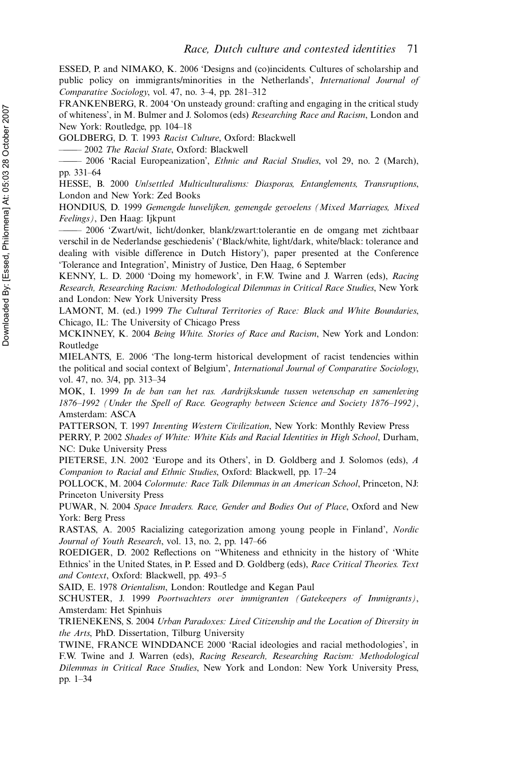ESSED, P. and NIMAKO, K. 2006 'Designs and (co)incidents. Cultures of scholarship and public policy on immigrants/minorities in the Netherlands', International Journal of Comparative Sociology, vol. 47, no. 3-4, pp. 281-312

FRANKENBERG, R. 2004 'On unsteady ground: crafting and engaging in the critical study of whiteness', in M. Bulmer and J. Solomos (eds) Researching Race and Racism, London and New York: Routledge, pp. 104-18

GOLDBERG, D. T. 1993 Racist Culture, Oxford: Blackwell

- 2002 The Racial State, Oxford: Blackwell

- 2006 'Racial Europeanization', Ethnic and Racial Studies, vol 29, no. 2 (March), pp. 331–64

HESSE, B. 2000 Un/settled Multiculturalisms: Diasporas, Entanglements, Transruptions , London and New York: Zed Books

HONDIUS, D. 1999 Gemengde huwelijken, gemengde ge voelens (Mixed Marriages, Mixed Feelings), Den Haag: Ijkpunt

2006 'Zwart/wit, licht/donker, blank/zwart:tolerantie en de omgang met zichtbaar verschil in de Nederlandse geschiedenis' ('Black/white, light/dark, white/black: tolerance and dealing with visible difference in Dutch History'), paper presented at the Conference 'Tolerance and Integration', Ministry of Justice, Den Haag, 6 September

KENNY, L. D. 2000 'Doing my homework', in F.W. Twine and J. Warren (eds), Racing Research, Researching Racism: Methodological Dilemmas in Critical Race Studies, New York and London: New York University Press

LAMONT, M. (ed.) 1999 The Cultural Territories of Race: Black and White Boundaries , Chicago, IL: The University of Chicago Press

MCKINNEY, K. 2004 Being White. Stories of Race and Racism, New York and London: Routledge

MIELANTS, E. 2006 'The long-term historical development of racist tendencies within the political and social context of Belgium', *International Journal of Comparative Sociology*, vol. 47, no. 3/4, pp. 313–34

MOK, I. 1999 In de ban van het ras. Aardrijkskunde tussen wetenschap en samenleving 1876–1992 (Under the Spell of Race. Geography between Science and Society 1876–1992), Amsterdam: ASCA

PATTERSON, T. 1997 Inventing Western Civilization, New York: Monthly Review Press PERRY, P. 2002 Shades of White: White Kids and Racial Identities in High School, Durham, NC: Duke University Press

PIETERSE, J.N. 2002 'Europe and its Others', in D. Goldberg and J. Solomos (eds), A Companion to Racial and Ethnic Studies, Oxford: Blackwell, pp. 17-24

POLLOCK, M. 2004 Colormute: Race Talk Dilemmas in an American School, Princeton, NJ: Princeton University Press

PUWAR, N. 2004 Space Invaders. Race, Gender and Bodies Out of Place, Oxford and New York: Berg Press

RASTAS, A. 2005 Racializing categorization among young people in Finland', Nordic Journal of Youth Research, vol. 13, no. 2, pp. 147-66

ROEDIGER, D. 2002 Reflections on ''Whiteness and ethnicity in the history of 'White Ethnics' in the United States, in P. Essed and D. Goldberg (eds), Race Critical Theories. Text and Context, Oxford: Blackwell, pp. 493-5

SAID, E. 1978 Orientalism, London: Routledge and Kegan Paul

SCHUSTER, J. 1999 Poortwachters over immigranten (Gatekeepers of Immigrants), Amsterdam: Het Spinhuis

TRIENEKENS, S. 2004 Urban Paradoxes: Lived Citizenship and the Location of Diversity in the Arts, PhD. Dissertation, Tilburg University

TWINE, FRANCE WINDDANCE 2000 'Racial ideologies and racial methodologies', in F.W. Twine and J. Warren (eds), Racing Research, Researching Racism: Methodological Dilemmas in Critical Race Studies, New York and London: New York University Press, pp. 1–34